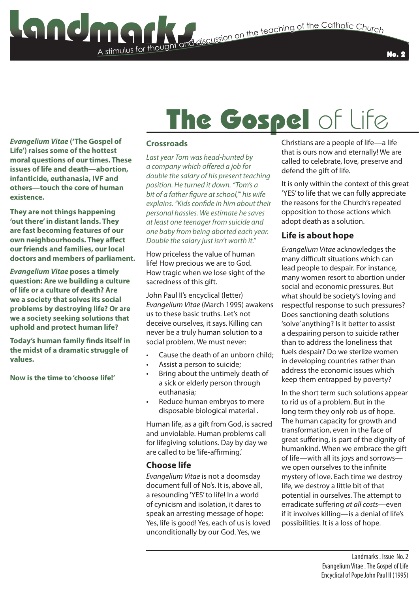### A stimulus for thought **State and the Catholic Church**<br>The discussion on the teaching of the Catholic Church

No. 2

### The Gospel of Life

*Evangelium Vitae* **('The Gospel of Life') raises some of the hottest moral questions of our times. These issues of life and death—abortion, infanticide, euthanasia, IVF and others—touch the core of human existence.**

**They are not things happening 'out there' in distant lands. They are fast becoming features of our own neighbourhoods. They affect our friends and families, our local doctors and members of parliament.** 

*Evangelium Vitae* **poses a timely question: Are we building a culture of life or a culture of death? Are we a society that solves its social problems by destroying life? Or are we a society seeking solutions that uphold and protect human life?**

**Today's human family finds itself in the midst of a dramatic struggle of values.** 

**Now is the time to 'choose life!'**

#### **Crossroads**

*Last year Tom was head-hunted by a company which offered a job for double the salary of his present teaching position. He turned it down. "Tom's a bit of a father figure at school,'" his wife explains. "Kids confide in him about their personal hassles. We estimate he saves at least one teenager from suicide and one baby from being aborted each year. Double the salary just isn't worth it."*

How priceless the value of human life! How precious we are to God. How tragic when we lose sight of the sacredness of this gift.

John Paul II's encyclical (letter) *Evangelium Vitae* (March 1995) awakens us to these basic truths. Let's not deceive ourselves, it says. Killing can never be a truly human solution to a social problem. We must never:

- Cause the death of an unborn child;
- Assist a person to suicide;
- Bring about the untimely death of a sick or elderly person through euthanasia;
- Reduce human embryos to mere disposable biological material .

Human life, as a gift from God, is sacred and unviolable. Human problems call for lifegiving solutions. Day by day we are called to be 'life-affirming.'

#### **Choose life**

*Evangelium Vitae* is not a doomsday document full of No's. It is, above all, a resounding 'YES' to life! In a world of cynicism and isolation, it dares to speak an arresting message of hope: Yes, life is good! Yes, each of us is loved unconditionally by our God. Yes, we

Christians are a people of life—a life that is ours now and eternally! We are called to celebrate, love, preserve and defend the gift of life.

It is only within the context of this great 'YES' to life that we can fully appreciate the reasons for the Church's repeated opposition to those actions which adopt death as a solution.

#### **Life is about hope**

*Evangelium Vitae* acknowledges the many difficult situations which can lead people to despair. For instance, many women resort to abortion under social and economic pressures. But what should be society's loving and respectful response to such pressures? Does sanctioning death solutions 'solve' anything? Is it better to assist a despairing person to suicide rather than to address the loneliness that fuels despair? Do we sterlize women in developing countries rather than address the economic issues which keep them entrapped by poverty?

In the short term such solutions appear to rid us of a problem. But in the long term they only rob us of hope. The human capacity for growth and transformation, even in the face of great suffering, is part of the dignity of humankind. When we embrace the gift of life—with all its joys and sorrows we open ourselves to the infinite mystery of love. Each time we destroy life, we destroy a little bit of that potential in ourselves. The attempt to erradicate suffering *at all costs*—even if it involves killing—is a denial of life's possibilities. It is a loss of hope.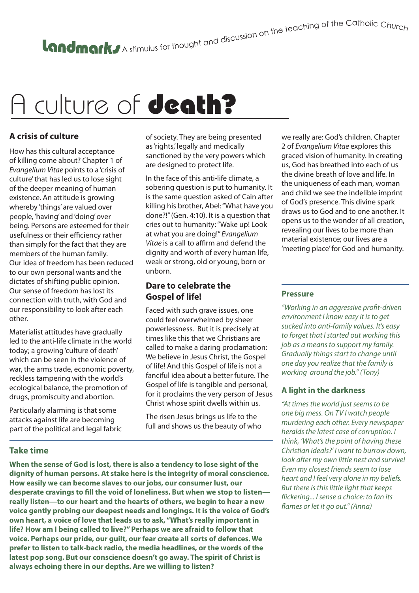# A culture of **death?**

#### **A crisis of culture**

How has this cultural acceptance of killing come about? Chapter 1 of *Evangelium Vitae* points to a 'crisis of culture' that has led us to lose sight of the deeper meaning of human existence. An attitude is growing whereby 'things' are valued over people, 'having' and 'doing' over being. Persons are esteemed for their usefulness or their efficiency rather than simply for the fact that they are members of the human family. Our idea of freedom has been reduced to our own personal wants and the dictates of shifting public opinion. Our sense of freedom has lost its connection with truth, with God and our responsibility to look after each other.

Materialist attitudes have gradually led to the anti-life climate in the world today; a growing 'culture of death' which can be seen in the violence of war, the arms trade, economic poverty, reckless tampering with the world's ecological balance, the promotion of drugs, promiscuity and abortion.

Particularly alarming is that some attacks against life are becoming part of the political and legal fabric of society. They are being presented as 'rights,' legally and medically sanctioned by the very powers which are designed to protect life.

In the face of this anti-life climate, a sobering question is put to humanity. It is the same question asked of Cain after killing his brother, Abel: "What have you done?!" (Gen. 4:10). It is a question that cries out to humanity: "Wake up! Look at what you are doing!" *Evangelium Vitae* is a call to affirm and defend the dignity and worth of every human life, weak or strong, old or young, born or unborn.

#### **Dare to celebrate the Gospel of life!**

Faced with such grave issues, one could feel overwhelmed by sheer powerlessness. But it is precisely at times like this that we Christians are called to make a daring proclamation: We believe in Jesus Christ, the Gospel of life! And this Gospel of life is not a fanciful idea about a better future. The Gospel of life is tangible and personal, for it proclaims the very person of Jesus Christ whose spirit dwells within us.

The risen Jesus brings us life to the full and shows us the beauty of who we really are: God's children. Chapter 2 of *Evangelium Vitae* explores this graced vision of humanity. In creating us, God has breathed into each of us the divine breath of love and life. In the uniqueness of each man, woman and child we see the indelible imprint of God's presence. This divine spark draws us to God and to one another. It opens us to the wonder of all creation, revealing our lives to be more than material existence; our lives are a 'meeting place' for God and humanity.

#### **Pressure**

*"Working in an aggressive profit-driven environment I know easy it is to get sucked into anti-family values. It's easy to forget that I started out working this job as a means to support my family. Gradually things start to change until one day you realize that the family is working around the job." (Tony)*

#### **A light in the darkness**

*"At times the world just seems to be one big mess. On TV I watch people murdering each other. Every newspaper heralds the latest case of corruption. I think, 'What's the point of having these Christian ideals?' I want to burrow down, look after my own little nest and survive! Even my closest friends seem to lose heart and I feel very alone in my beliefs. But there is this little light that keeps flickering... I sense a choice: to fan its flames or let it go out." (Anna)*

#### **Take time**

**When the sense of God is lost, there is also a tendency to lose sight of the dignity of human persons. At stake here is the integrity of moral conscience. How easily we can become slaves to our jobs, our consumer lust, our desperate cravings to fill the void of loneliness. But when we stop to listen really listen—to our heart and the hearts of others, we begin to hear a new voice gently probing our deepest needs and longings. It is the voice of God's own heart, a voice of love that leads us to ask, "What's really important in life? How am I being called to live?" Perhaps we are afraid to follow that voice. Perhaps our pride, our guilt, our fear create all sorts of defences. We prefer to listen to talk-back radio, the media headlines, or the words of the latest pop song. But our conscience doesn't go away. The spirit of Christ is always echoing there in our depths. Are we willing to listen?**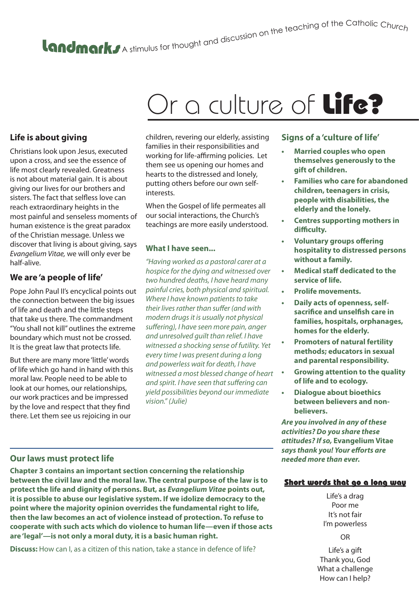# A stimulus for thought and discussion on the teaching of the Catholic Churc<sub>h</sub>

## Or a culture of **Life?**

#### **Life is about giving**

Christians look upon Jesus, executed upon a cross, and see the essence of life most clearly revealed. Greatness is not about material gain. It is about giving our lives for our brothers and sisters. The fact that selfless love can reach extraordinary heights in the most painful and senseless moments of human existence is the great paradox of the Christian message. Unless we discover that living is about giving, says *Evangelium Vitae,* we will only ever be half-alive.

#### **We are 'a people of life'**

Pope John Paul II's encyclical points out the connection between the big issues of life and death and the little steps that take us there. The commandment "You shall not kill" outlines the extreme boundary which must not be crossed. It is the great law that protects life.

But there are many more 'little' words of life which go hand in hand with this moral law. People need to be able to look at our homes, our relationships, our work practices and be impressed by the love and respect that they find there. Let them see us rejoicing in our

children, revering our elderly, assisting families in their responsibilities and working for life-affirming policies. Let them see us opening our homes and hearts to the distressed and lonely, putting others before our own selfinterests.

When the Gospel of life permeates all our social interactions, the Church's teachings are more easily understood.

#### **What I have seen...**

*"Having worked as a pastoral carer at a hospice for the dying and witnessed over two hundred deaths, I have heard many painful cries, both physical and spiritual. Where I have known patients to take their lives rather than suffer (and with modern drugs it is usually not physical suffering), I have seen more pain, anger and unresolved guilt than relief. I have witnessed a shocking sense of futility. Yet every time I was present during a long and powerless wait for death, I have witnessed a most blessed change of heart and spirit. I have seen that suffering can yield possibilities beyond our immediate vision." (Julie)*

#### **Signs of a 'culture of life'**

- **• Married couples who open themselves generously to the gift of children.**
- **• Families who care for abandoned children, teenagers in crisis, people with disabilities, the elderly and the lonely.**
- **• Centres supporting mothers in difficulty.**
- **• Voluntary groups offering hospitality to distressed persons without a family.**
- **• Medical staff dedicated to the service of life.**
- **• Prolife movements.**
- **• Daily acts of openness, selfsacrifice and unselfish care in families, hospitals, orphanages, homes for the elderly.**
- **• Promoters of natural fertility methods; educators in sexual and parental responsibility.**
- **• Growing attention to the quality of life and to ecology.**
- **• Dialogue about bioethics between believers and nonbelievers.**

*Are you involved in any of these activities? Do you share these attitudes? If so,* **Evangelium Vitae** *says thank you! Your efforts are needed more than ever.*

#### **Our laws must protect life**

**Chapter 3 contains an important section concerning the relationship between the civil law and the moral law. The central purpose of the law is to protect the life and dignity of persons. But, as** *Evangelium Vitae* **points out, it is possible to abuse our legislative system. If we idolize democracy to the point where the majority opinion overrides the fundamental right to life, then the law becomes an act of violence instead of protection. To refuse to cooperate with such acts which do violence to human life—even if those acts are 'legal'—is not only a moral duty, it is a basic human right.**

**Discuss:** How can I, as a citizen of this nation, take a stance in defence of life?

#### Short words that go a long way

Life's a drag Poor me It's not fair I'm powerless

OR

Life's a gift Thank you, God What a challenge How can I help?